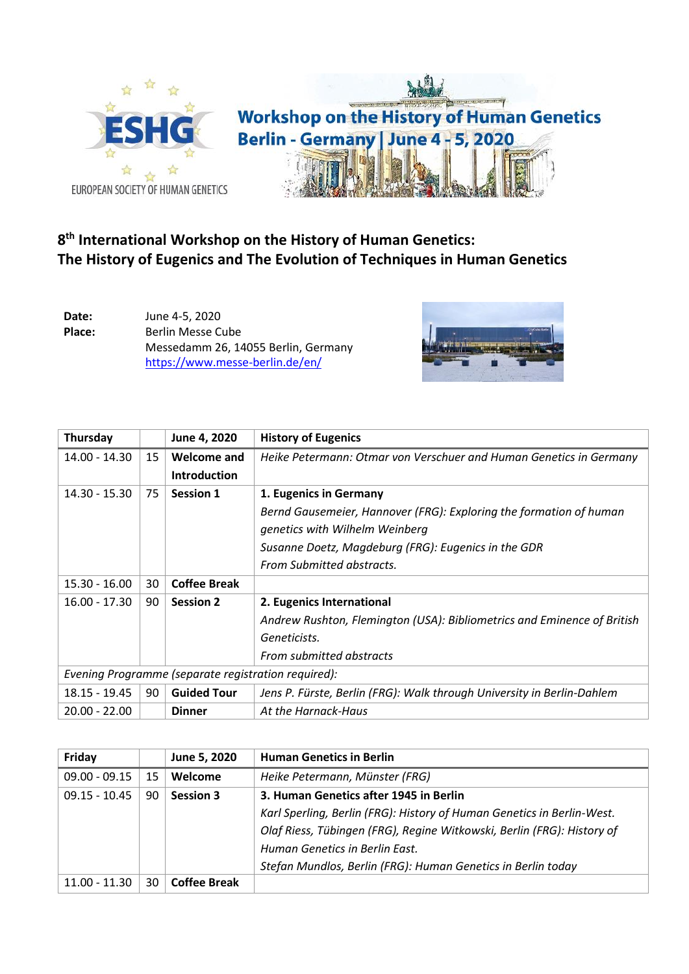

## **8 th International Workshop on the History of Human Genetics: The History of Eugenics and The Evolution of Techniques in Human Genetics**

**Date:** June 4-5, 2020 **Place:** Berlin Messe Cube Messedamm 26, 14055 Berlin, Germany <https://www.messe-berlin.de/en/>



| Thursday                                            |    | June 4, 2020        | <b>History of Eugenics</b>                                              |
|-----------------------------------------------------|----|---------------------|-------------------------------------------------------------------------|
| $14.00 - 14.30$                                     | 15 | Welcome and         | Heike Petermann: Otmar von Verschuer and Human Genetics in Germany      |
|                                                     |    | <b>Introduction</b> |                                                                         |
| $14.30 - 15.30$                                     | 75 | <b>Session 1</b>    | 1. Eugenics in Germany                                                  |
|                                                     |    |                     | Bernd Gausemeier, Hannover (FRG): Exploring the formation of human      |
|                                                     |    |                     | genetics with Wilhelm Weinberg                                          |
|                                                     |    |                     | Susanne Doetz, Magdeburg (FRG): Eugenics in the GDR                     |
|                                                     |    |                     | From Submitted abstracts.                                               |
| $15.30 - 16.00$                                     | 30 | <b>Coffee Break</b> |                                                                         |
| $16.00 - 17.30$                                     | 90 | <b>Session 2</b>    | 2. Eugenics International                                               |
|                                                     |    |                     | Andrew Rushton, Flemington (USA): Bibliometrics and Eminence of British |
|                                                     |    |                     | Geneticists.                                                            |
|                                                     |    |                     | From submitted abstracts                                                |
| Evening Programme (separate registration required): |    |                     |                                                                         |
| $18.15 - 19.45$                                     | 90 | <b>Guided Tour</b>  | Jens P. Fürste, Berlin (FRG): Walk through University in Berlin-Dahlem  |
| $20.00 - 22.00$                                     |    | <b>Dinner</b>       | At the Harnack-Haus                                                     |

| Friday          |    | June 5, 2020        | <b>Human Genetics in Berlin</b>                                        |  |
|-----------------|----|---------------------|------------------------------------------------------------------------|--|
| $09.00 - 09.15$ | 15 | Welcome             | Heike Petermann, Münster (FRG)                                         |  |
| $09.15 - 10.45$ | 90 | Session 3           | 3. Human Genetics after 1945 in Berlin                                 |  |
|                 |    |                     | Karl Sperling, Berlin (FRG): History of Human Genetics in Berlin-West. |  |
|                 |    |                     | Olaf Riess, Tübingen (FRG), Regine Witkowski, Berlin (FRG): History of |  |
|                 |    |                     | Human Genetics in Berlin East.                                         |  |
|                 |    |                     | Stefan Mundlos, Berlin (FRG): Human Genetics in Berlin today           |  |
| $11.00 - 11.30$ | 30 | <b>Coffee Break</b> |                                                                        |  |